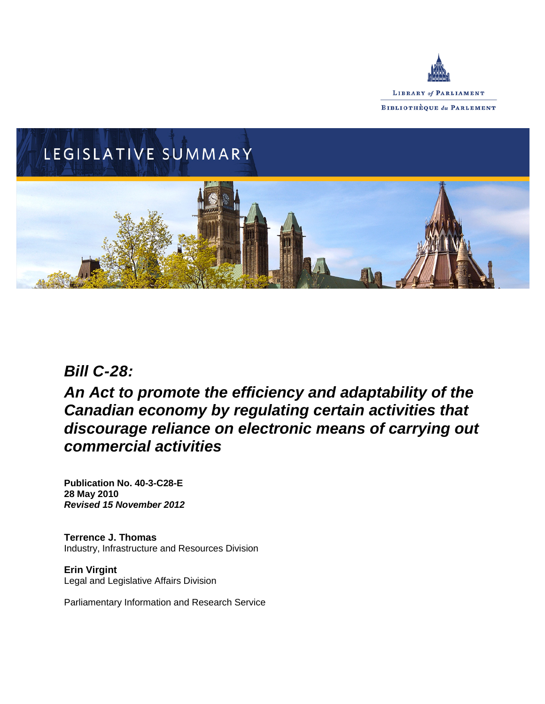



# *Bill C-28:*

*An Act to promote the efficiency and adaptability of the Canadian economy by regulating certain activities that discourage reliance on electronic means of carrying out commercial activities*

**Publication No. 40-3-C28-E 28 May 2010** *Revised 15 November 2012*

**Terrence J. Thomas** Industry, Infrastructure and Resources Division

**Erin Virgint** Legal and Legislative Affairs Division

Parliamentary Information and Research Service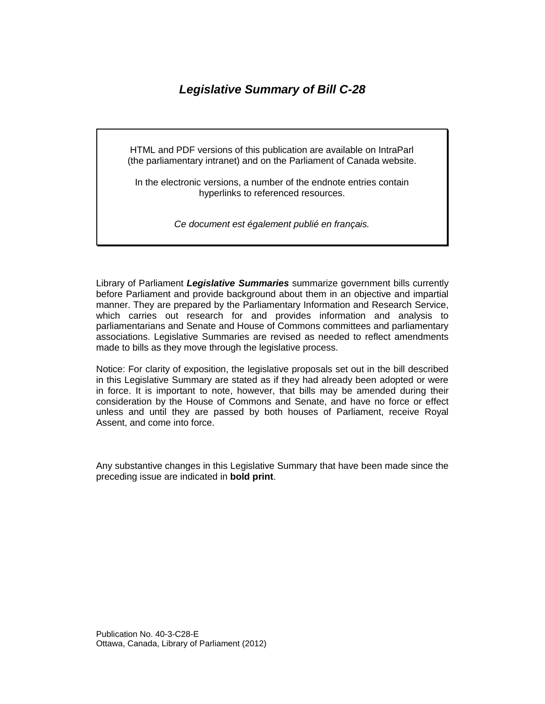# *Legislative Summary of Bill C-28*

HTML and PDF versions of this publication are available on IntraParl (the parliamentary intranet) and on the Parliament of Canada website.

In the electronic versions, a number of the endnote entries contain hyperlinks to referenced resources.

*Ce document est également publié en français.*

Library of Parliament *Legislative Summaries* summarize government bills currently before Parliament and provide background about them in an objective and impartial manner. They are prepared by the Parliamentary Information and Research Service, which carries out research for and provides information and analysis to parliamentarians and Senate and House of Commons committees and parliamentary associations. Legislative Summaries are revised as needed to reflect amendments made to bills as they move through the legislative process.

Notice: For clarity of exposition, the legislative proposals set out in the bill described in this Legislative Summary are stated as if they had already been adopted or were in force. It is important to note, however, that bills may be amended during their consideration by the House of Commons and Senate, and have no force or effect unless and until they are passed by both houses of Parliament, receive Royal Assent, and come into force.

Any substantive changes in this Legislative Summary that have been made since the preceding issue are indicated in **bold print**.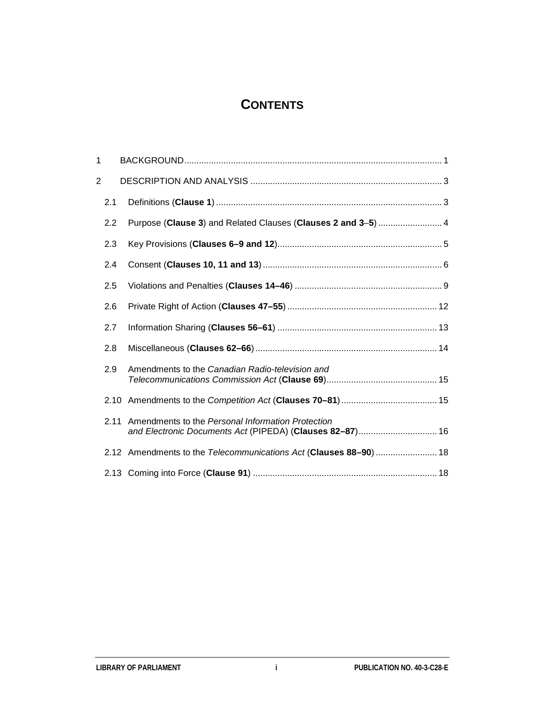# **CONTENTS**

| 1 |      |                                                                                                               |
|---|------|---------------------------------------------------------------------------------------------------------------|
| 2 |      |                                                                                                               |
|   | 2.1  |                                                                                                               |
|   | 2.2  | Purpose (Clause 3) and Related Clauses (Clauses 2 and 3-5)  4                                                 |
|   | 2.3  |                                                                                                               |
|   | 2.4  |                                                                                                               |
|   | 2.5  |                                                                                                               |
|   | 2.6  |                                                                                                               |
|   | 2.7  |                                                                                                               |
|   | 2.8  |                                                                                                               |
|   | 2.9  | Amendments to the Canadian Radio-television and                                                               |
|   | 2.10 |                                                                                                               |
|   | 2.11 | Amendments to the Personal Information Protection<br>and Electronic Documents Act (PIPEDA) (Clauses 82-87) 16 |
|   |      | 2.12 Amendments to the Telecommunications Act (Clauses 88-90)  18                                             |
|   |      |                                                                                                               |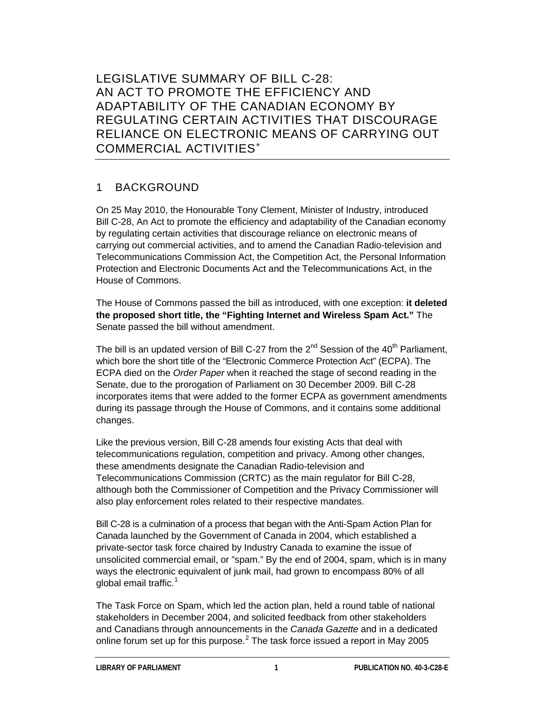LEGISLATIVE SUMMARY OF BILL C-28: AN ACT TO PROMOTE THE EFFICIENCY AND ADAPTABILITY OF THE CANADIAN ECONOMY BY REGULATING CERTAIN ACTIVITIES THAT DISCOURAGE RELIANCE ON ELECTRONIC MEANS OF CARRYING OUT COMMERCIAL ACTIVITIES[∗](#page-21-0)

# 1 BACKGROUND

On 25 May 2010, the Honourable Tony Clement, Minister of Industry, introduced Bill C-28, An Act to promote the efficiency and adaptability of the Canadian economy by regulating certain activities that discourage reliance on electronic means of carrying out commercial activities, and to amend the Canadian Radio-television and Telecommunications Commission Act, the Competition Act, the Personal Information Protection and Electronic Documents Act and the Telecommunications Act, in the House of Commons.

The House of Commons passed the bill as introduced, with one exception: **it deleted the proposed short title, the "Fighting Internet and Wireless Spam Act."** The Senate passed the bill without amendment.

The bill is an updated version of Bill C-27 from the  $2<sup>nd</sup>$  Session of the 40<sup>th</sup> Parliament, which bore the short title of the "Electronic Commerce Protection Act" (ECPA). The ECPA died on the *Order Paper* when it reached the stage of second reading in the Senate, due to the prorogation of Parliament on 30 December 2009. Bill C-28 incorporates items that were added to the former ECPA as government amendments during its passage through the House of Commons, and it contains some additional changes.

Like the previous version, Bill C-28 amends four existing Acts that deal with telecommunications regulation, competition and privacy. Among other changes, these amendments designate the Canadian Radio-television and Telecommunications Commission (CRTC) as the main regulator for Bill C-28, although both the Commissioner of Competition and the Privacy Commissioner will also play enforcement roles related to their respective mandates.

Bill C-28 is a culmination of a process that began with the Anti-Spam Action Plan for Canada launched by the Government of Canada in 2004, which established a private-sector task force chaired by Industry Canada to examine the issue of unsolicited commercial email, or "spam." By the end of 2004, spam, which is in many ways the electronic equivalent of junk mail, had grown to encompass 80% of all global email traffic.<sup>[1](#page-21-1)</sup>

The Task Force on Spam, which led the action plan, held a round table of national stakeholders in December 2004, and solicited feedback from other stakeholders and Canadians through announcements in the *Canada Gazette* and in a dedicated online forum set up for this purpose. $<sup>2</sup>$  $<sup>2</sup>$  $<sup>2</sup>$  The task force issued a report in May 2005</sup>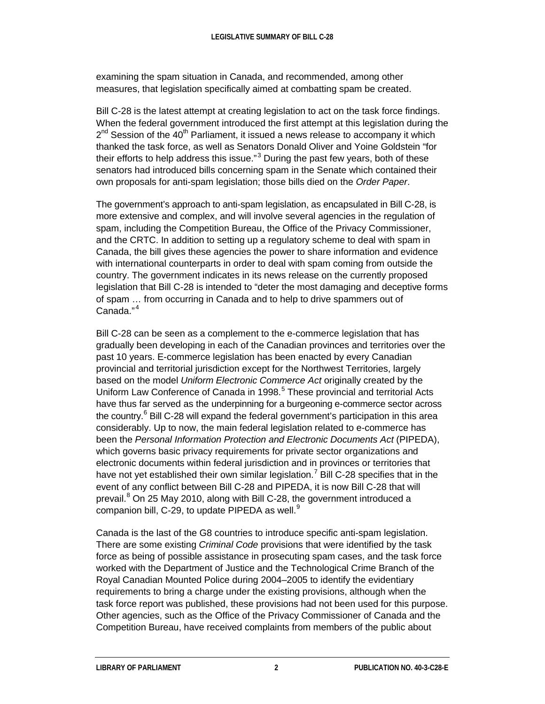examining the spam situation in Canada, and recommended, among other measures, that legislation specifically aimed at combatting spam be created.

Bill C-28 is the latest attempt at creating legislation to act on the task force findings. When the federal government introduced the first attempt at this legislation during the  $2^{nd}$  Session of the 40<sup>th</sup> Parliament, it issued a news release to accompany it which thanked the task force, as well as Senators Donald Oliver and Yoine Goldstein "for their efforts to help address this issue."<sup>[3](#page-21-3)</sup> During the past few years, both of these senators had introduced bills concerning spam in the Senate which contained their own proposals for anti-spam legislation; those bills died on the *Order Paper*.

The government's approach to anti-spam legislation, as encapsulated in Bill C-28, is more extensive and complex, and will involve several agencies in the regulation of spam, including the Competition Bureau, the Office of the Privacy Commissioner, and the CRTC. In addition to setting up a regulatory scheme to deal with spam in Canada, the bill gives these agencies the power to share information and evidence with international counterparts in order to deal with spam coming from outside the country. The government indicates in its news release on the currently proposed legislation that Bill C-28 is intended to "deter the most damaging and deceptive forms of spam … from occurring in Canada and to help to drive spammers out of Canada." [4](#page-21-4)

Bill C-28 can be seen as a complement to the e-commerce legislation that has gradually been developing in each of the Canadian provinces and territories over the past 10 years. E-commerce legislation has been enacted by every Canadian provincial and territorial jurisdiction except for the Northwest Territories, largely based on the model *Uniform Electronic Commerce Act* originally created by the Uniform Law Conference of Canada in 1998.<sup>[5](#page-22-0)</sup> These provincial and territorial Acts have thus far served as the underpinning for a burgeoning e-commerce sector across the country.<sup>[6](#page-22-1)</sup> Bill C-28 will expand the federal government's participation in this area considerably. Up to now, the main federal legislation related to e-commerce has been the *Personal Information Protection and Electronic Documents Act* (PIPEDA), which governs basic privacy requirements for private sector organizations and electronic documents within federal jurisdiction and in provinces or territories that have not yet established their own similar legislation.<sup>[7](#page-22-2)</sup> Bill C-28 specifies that in the event of any conflict between Bill C-28 and PIPEDA, it is now Bill C-28 that will prevail.<sup>[8](#page-22-3)</sup> On 25 May 2010, along with Bill C-28, the government introduced a companion bill, C-2[9](#page-22-4), to update PIPEDA as well. $9$ 

Canada is the last of the G8 countries to introduce specific anti-spam legislation. There are some existing *Criminal Code* provisions that were identified by the task force as being of possible assistance in prosecuting spam cases, and the task force worked with the Department of Justice and the Technological Crime Branch of the Royal Canadian Mounted Police during 2004–2005 to identify the evidentiary requirements to bring a charge under the existing provisions, although when the task force report was published, these provisions had not been used for this purpose. Other agencies, such as the Office of the Privacy Commissioner of Canada and the Competition Bureau, have received complaints from members of the public about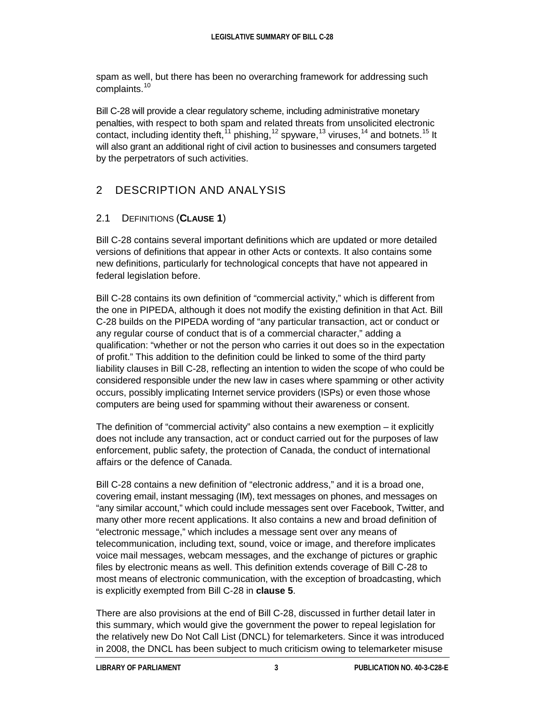spam as well, but there has been no overarching framework for addressing such complaints.<sup>[10](#page-22-5)</sup>

Bill C-28 will provide a clear regulatory scheme, including administrative monetary penalties, with respect to both spam and related threats from unsolicited electronic contact, including identity theft,  $11$  phishing,  $12$  spyware,  $13$  viruses,  $14$  and botnets.  $15$  It will also grant an additional right of civil action to businesses and consumers targeted by the perpetrators of such activities.

# 2 DESCRIPTION AND ANALYSIS

## 2.1 DEFINITIONS (**CLAUSE 1**)

Bill C-28 contains several important definitions which are updated or more detailed versions of definitions that appear in other Acts or contexts. It also contains some new definitions, particularly for technological concepts that have not appeared in federal legislation before.

Bill C-28 contains its own definition of "commercial activity," which is different from the one in PIPEDA, although it does not modify the existing definition in that Act. Bill C-28 builds on the PIPEDA wording of "any particular transaction, act or conduct or any regular course of conduct that is of a commercial character," adding a qualification: "whether or not the person who carries it out does so in the expectation of profit." This addition to the definition could be linked to some of the third party liability clauses in Bill C-28, reflecting an intention to widen the scope of who could be considered responsible under the new law in cases where spamming or other activity occurs, possibly implicating Internet service providers (ISPs) or even those whose computers are being used for spamming without their awareness or consent.

The definition of "commercial activity" also contains a new exemption – it explicitly does not include any transaction, act or conduct carried out for the purposes of law enforcement, public safety, the protection of Canada, the conduct of international affairs or the defence of Canada.

Bill C-28 contains a new definition of "electronic address," and it is a broad one, covering email, instant messaging (IM), text messages on phones, and messages on "any similar account," which could include messages sent over Facebook, Twitter, and many other more recent applications. It also contains a new and broad definition of "electronic message," which includes a message sent over any means of telecommunication, including text, sound, voice or image, and therefore implicates voice mail messages, webcam messages, and the exchange of pictures or graphic files by electronic means as well. This definition extends coverage of Bill C-28 to most means of electronic communication, with the exception of broadcasting, which is explicitly exempted from Bill C-28 in **clause 5**.

There are also provisions at the end of Bill C-28, discussed in further detail later in this summary, which would give the government the power to repeal legislation for the relatively new Do Not Call List (DNCL) for telemarketers. Since it was introduced in 2008, the DNCL has been subject to much criticism owing to telemarketer misuse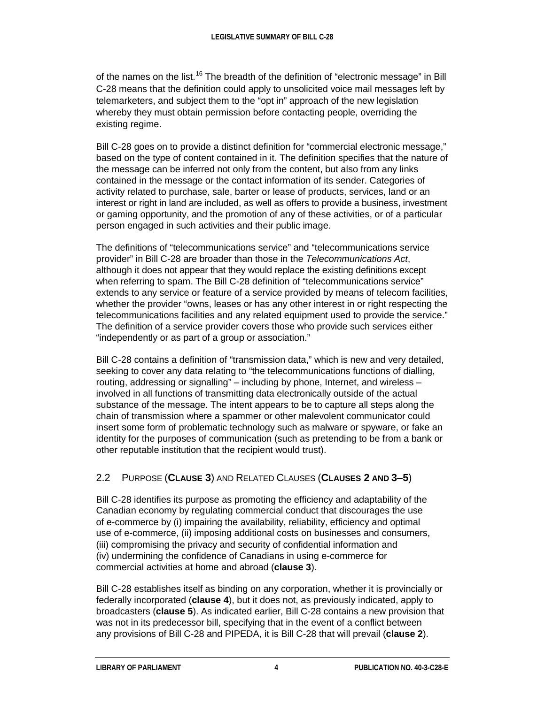of the names on the list.<sup>[16](#page-22-11)</sup> The breadth of the definition of "electronic message" in Bill C-28 means that the definition could apply to unsolicited voice mail messages left by telemarketers, and subject them to the "opt in" approach of the new legislation whereby they must obtain permission before contacting people, overriding the existing regime.

Bill C-28 goes on to provide a distinct definition for "commercial electronic message," based on the type of content contained in it. The definition specifies that the nature of the message can be inferred not only from the content, but also from any links contained in the message or the contact information of its sender. Categories of activity related to purchase, sale, barter or lease of products, services, land or an interest or right in land are included, as well as offers to provide a business, investment or gaming opportunity, and the promotion of any of these activities, or of a particular person engaged in such activities and their public image.

The definitions of "telecommunications service" and "telecommunications service provider" in Bill C-28 are broader than those in the *Telecommunications Act*, although it does not appear that they would replace the existing definitions except when referring to spam. The Bill C-28 definition of "telecommunications service" extends to any service or feature of a service provided by means of telecom facilities, whether the provider "owns, leases or has any other interest in or right respecting the telecommunications facilities and any related equipment used to provide the service." The definition of a service provider covers those who provide such services either "independently or as part of a group or association."

Bill C-28 contains a definition of "transmission data," which is new and very detailed, seeking to cover any data relating to "the telecommunications functions of dialling, routing, addressing or signalling" – including by phone, Internet, and wireless – involved in all functions of transmitting data electronically outside of the actual substance of the message. The intent appears to be to capture all steps along the chain of transmission where a spammer or other malevolent communicator could insert some form of problematic technology such as malware or spyware, or fake an identity for the purposes of communication (such as pretending to be from a bank or other reputable institution that the recipient would trust).

## 2.2 PURPOSE (**CLAUSE 3**) AND RELATED CLAUSES (**CLAUSES 2 AND 3**–**5**)

Bill C-28 identifies its purpose as promoting the efficiency and adaptability of the Canadian economy by regulating commercial conduct that discourages the use of e-commerce by (i) impairing the availability, reliability, efficiency and optimal use of e-commerce, (ii) imposing additional costs on businesses and consumers, (iii) compromising the privacy and security of confidential information and (iv) undermining the confidence of Canadians in using e-commerce for commercial activities at home and abroad (**clause 3**).

Bill C-28 establishes itself as binding on any corporation, whether it is provincially or federally incorporated (**clause 4**), but it does not, as previously indicated, apply to broadcasters (**clause 5**). As indicated earlier, Bill C-28 contains a new provision that was not in its predecessor bill, specifying that in the event of a conflict between any provisions of Bill C-28 and PIPEDA, it is Bill C-28 that will prevail (**clause 2**).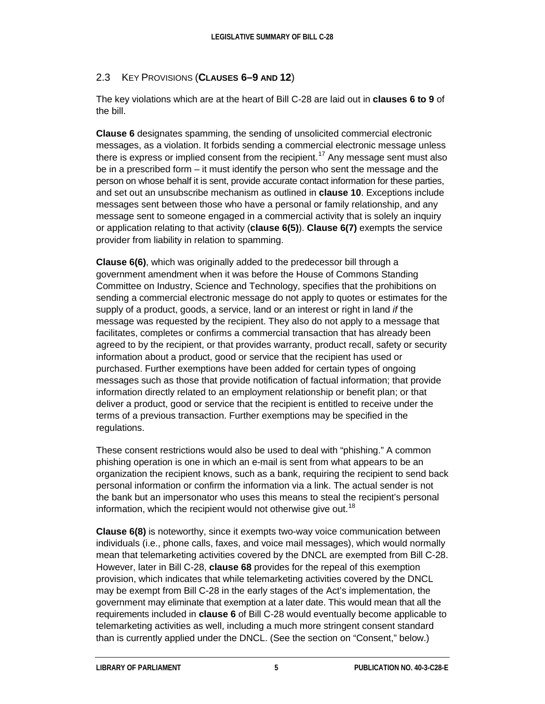#### 2.3 KEY PROVISIONS (**CLAUSES 6–9 AND 12**)

The key violations which are at the heart of Bill C-28 are laid out in **clauses 6 to 9** of the bill.

**Clause 6** designates spamming, the sending of unsolicited commercial electronic messages, as a violation. It forbids sending a commercial electronic message unless there is express or implied consent from the recipient.<sup>[17](#page-22-12)</sup> Any message sent must also be in a prescribed form – it must identify the person who sent the message and the person on whose behalf it is sent, provide accurate contact information for these parties, and set out an unsubscribe mechanism as outlined in **clause 10**. Exceptions include messages sent between those who have a personal or family relationship, and any message sent to someone engaged in a commercial activity that is solely an inquiry or application relating to that activity (**clause 6(5)**). **Clause 6(7)** exempts the service provider from liability in relation to spamming.

**Clause 6(6)**, which was originally added to the predecessor bill through a government amendment when it was before the House of Commons Standing Committee on Industry, Science and Technology, specifies that the prohibitions on sending a commercial electronic message do not apply to quotes or estimates for the supply of a product, goods, a service, land or an interest or right in land *if* the message was requested by the recipient. They also do not apply to a message that facilitates, completes or confirms a commercial transaction that has already been agreed to by the recipient, or that provides warranty, product recall, safety or security information about a product, good or service that the recipient has used or purchased. Further exemptions have been added for certain types of ongoing messages such as those that provide notification of factual information; that provide information directly related to an employment relationship or benefit plan; or that deliver a product, good or service that the recipient is entitled to receive under the terms of a previous transaction. Further exemptions may be specified in the regulations.

These consent restrictions would also be used to deal with "phishing." A common phishing operation is one in which an e-mail is sent from what appears to be an organization the recipient knows, such as a bank, requiring the recipient to send back personal information or confirm the information via a link. The actual sender is not the bank but an impersonator who uses this means to steal the recipient's personal information, which the recipient would not otherwise give out.<sup>[18](#page-22-13)</sup>

**Clause 6(8)** is noteworthy, since it exempts two-way voice communication between individuals (i.e., phone calls, faxes, and voice mail messages), which would normally mean that telemarketing activities covered by the DNCL are exempted from Bill C-28. However, later in Bill C-28, **clause 68** provides for the repeal of this exemption provision, which indicates that while telemarketing activities covered by the DNCL may be exempt from Bill C-28 in the early stages of the Act's implementation, the government may eliminate that exemption at a later date. This would mean that all the requirements included in **clause 6** of Bill C-28 would eventually become applicable to telemarketing activities as well, including a much more stringent consent standard than is currently applied under the DNCL. (See the section on "Consent," below.)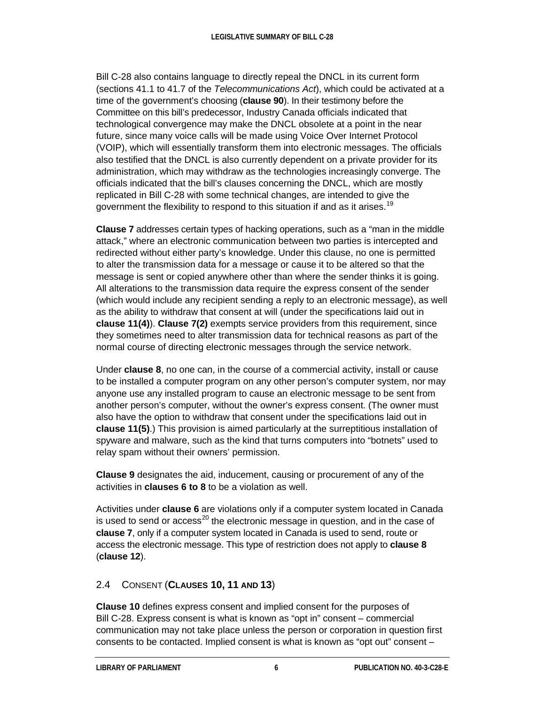Bill C-28 also contains language to directly repeal the DNCL in its current form (sections 41.1 to 41.7 of the *Telecommunications Act*), which could be activated at a time of the government's choosing (**clause 90**). In their testimony before the Committee on this bill's predecessor, Industry Canada officials indicated that technological convergence may make the DNCL obsolete at a point in the near future, since many voice calls will be made using Voice Over Internet Protocol (VOIP), which will essentially transform them into electronic messages. The officials also testified that the DNCL is also currently dependent on a private provider for its administration, which may withdraw as the technologies increasingly converge. The officials indicated that the bill's clauses concerning the DNCL, which are mostly replicated in Bill C-28 with some technical changes, are intended to give the government the flexibility to respond to this situation if and as it arises.<sup>[19](#page-22-14)</sup>

**Clause 7** addresses certain types of hacking operations, such as a "man in the middle attack," where an electronic communication between two parties is intercepted and redirected without either party's knowledge. Under this clause, no one is permitted to alter the transmission data for a message or cause it to be altered so that the message is sent or copied anywhere other than where the sender thinks it is going. All alterations to the transmission data require the express consent of the sender (which would include any recipient sending a reply to an electronic message), as well as the ability to withdraw that consent at will (under the specifications laid out in **clause 11(4)**). **Clause 7(2)** exempts service providers from this requirement, since they sometimes need to alter transmission data for technical reasons as part of the normal course of directing electronic messages through the service network.

Under **clause 8**, no one can, in the course of a commercial activity, install or cause to be installed a computer program on any other person's computer system, nor may anyone use any installed program to cause an electronic message to be sent from another person's computer, without the owner's express consent. (The owner must also have the option to withdraw that consent under the specifications laid out in **clause 11(5)**.) This provision is aimed particularly at the surreptitious installation of spyware and malware, such as the kind that turns computers into "botnets" used to relay spam without their owners' permission.

**Clause 9** designates the aid, inducement, causing or procurement of any of the activities in **clauses 6 to 8** to be a violation as well.

Activities under **clause 6** are violations only if a computer system located in Canada is used to send or access<sup>[20](#page-22-15)</sup> the electronic message in question, and in the case of **clause 7**, only if a computer system located in Canada is used to send, route or access the electronic message. This type of restriction does not apply to **clause 8** (**clause 12**).

## 2.4 CONSENT (**CLAUSES 10, 11 AND 13**)

**Clause 10** defines express consent and implied consent for the purposes of Bill C-28. Express consent is what is known as "opt in" consent – commercial communication may not take place unless the person or corporation in question first consents to be contacted. Implied consent is what is known as "opt out" consent –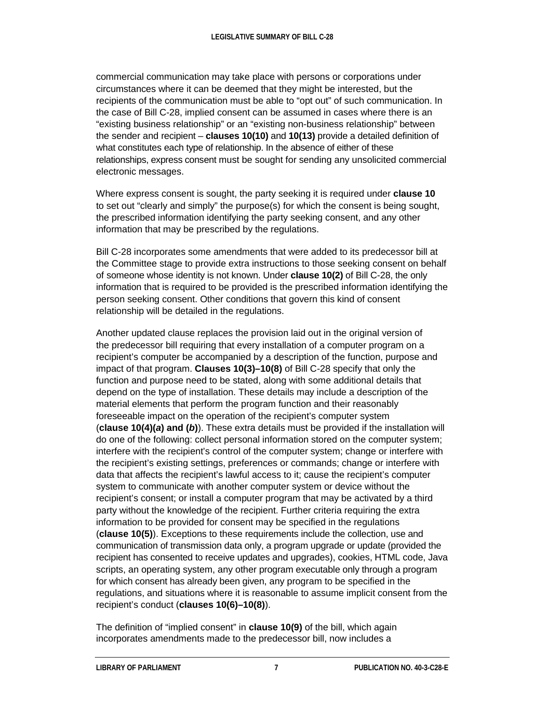commercial communication may take place with persons or corporations under circumstances where it can be deemed that they might be interested, but the recipients of the communication must be able to "opt out" of such communication. In the case of Bill C-28, implied consent can be assumed in cases where there is an "existing business relationship" or an "existing non-business relationship" between the sender and recipient – **clauses 10(10)** and **10(13)** provide a detailed definition of what constitutes each type of relationship. In the absence of either of these relationships, express consent must be sought for sending any unsolicited commercial electronic messages.

Where express consent is sought, the party seeking it is required under **clause 10** to set out "clearly and simply" the purpose(s) for which the consent is being sought, the prescribed information identifying the party seeking consent, and any other information that may be prescribed by the regulations.

Bill C-28 incorporates some amendments that were added to its predecessor bill at the Committee stage to provide extra instructions to those seeking consent on behalf of someone whose identity is not known. Under **clause 10(2)** of Bill C-28, the only information that is required to be provided is the prescribed information identifying the person seeking consent. Other conditions that govern this kind of consent relationship will be detailed in the regulations.

Another updated clause replaces the provision laid out in the original version of the predecessor bill requiring that every installation of a computer program on a recipient's computer be accompanied by a description of the function, purpose and impact of that program. **Clauses 10(3)–10(8)** of Bill C-28 specify that only the function and purpose need to be stated, along with some additional details that depend on the type of installation. These details may include a description of the material elements that perform the program function and their reasonably foreseeable impact on the operation of the recipient's computer system (**clause 10(4)(***a***) and (***b***)**). These extra details must be provided if the installation will do one of the following: collect personal information stored on the computer system; interfere with the recipient's control of the computer system; change or interfere with the recipient's existing settings, preferences or commands; change or interfere with data that affects the recipient's lawful access to it; cause the recipient's computer system to communicate with another computer system or device without the recipient's consent; or install a computer program that may be activated by a third party without the knowledge of the recipient. Further criteria requiring the extra information to be provided for consent may be specified in the regulations (**clause 10(5)**). Exceptions to these requirements include the collection, use and communication of transmission data only, a program upgrade or update (provided the recipient has consented to receive updates and upgrades), cookies, HTML code, Java scripts, an operating system, any other program executable only through a program for which consent has already been given, any program to be specified in the regulations, and situations where it is reasonable to assume implicit consent from the recipient's conduct (**clauses 10(6)–10(8)**).

The definition of "implied consent" in **clause 10(9)** of the bill, which again incorporates amendments made to the predecessor bill, now includes a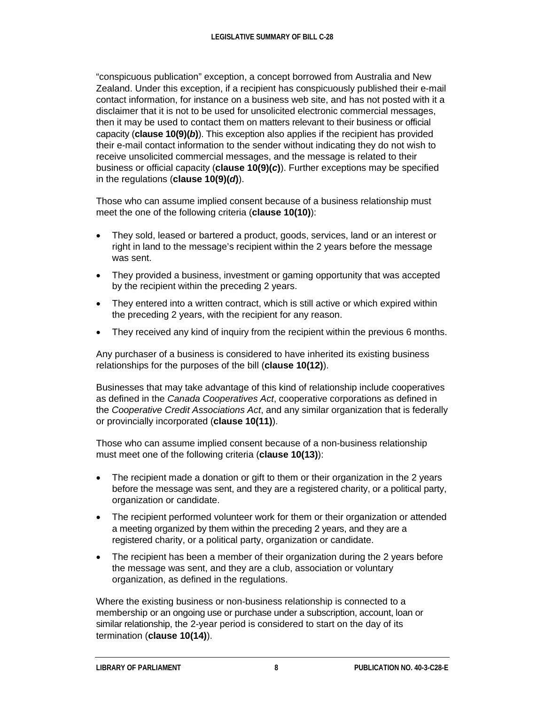"conspicuous publication" exception, a concept borrowed from Australia and New Zealand. Under this exception, if a recipient has conspicuously published their e-mail contact information, for instance on a business web site, and has not posted with it a disclaimer that it is not to be used for unsolicited electronic commercial messages, then it may be used to contact them on matters relevant to their business or official capacity (**clause 10(9)(***b***)**). This exception also applies if the recipient has provided their e-mail contact information to the sender without indicating they do not wish to receive unsolicited commercial messages, and the message is related to their business or official capacity (**clause 10(9)(***c***)**). Further exceptions may be specified in the regulations (**clause 10(9)(***d***)**).

Those who can assume implied consent because of a business relationship must meet the one of the following criteria (**clause 10(10)**):

- They sold, leased or bartered a product, goods, services, land or an interest or right in land to the message's recipient within the 2 years before the message was sent.
- They provided a business, investment or gaming opportunity that was accepted by the recipient within the preceding 2 years.
- They entered into a written contract, which is still active or which expired within the preceding 2 years, with the recipient for any reason.
- They received any kind of inquiry from the recipient within the previous 6 months.

Any purchaser of a business is considered to have inherited its existing business relationships for the purposes of the bill (**clause 10(12)**).

Businesses that may take advantage of this kind of relationship include cooperatives as defined in the *Canada Cooperatives Act*, cooperative corporations as defined in the *Cooperative Credit Associations Act*, and any similar organization that is federally or provincially incorporated (**clause 10(11)**).

Those who can assume implied consent because of a non-business relationship must meet one of the following criteria (**clause 10(13)**):

- The recipient made a donation or gift to them or their organization in the 2 years before the message was sent, and they are a registered charity, or a political party, organization or candidate.
- The recipient performed volunteer work for them or their organization or attended a meeting organized by them within the preceding 2 years, and they are a registered charity, or a political party, organization or candidate.
- The recipient has been a member of their organization during the 2 years before the message was sent, and they are a club, association or voluntary organization, as defined in the regulations.

Where the existing business or non-business relationship is connected to a membership or an ongoing use or purchase under a subscription, account, loan or similar relationship, the 2-year period is considered to start on the day of its termination (**clause 10(14)**).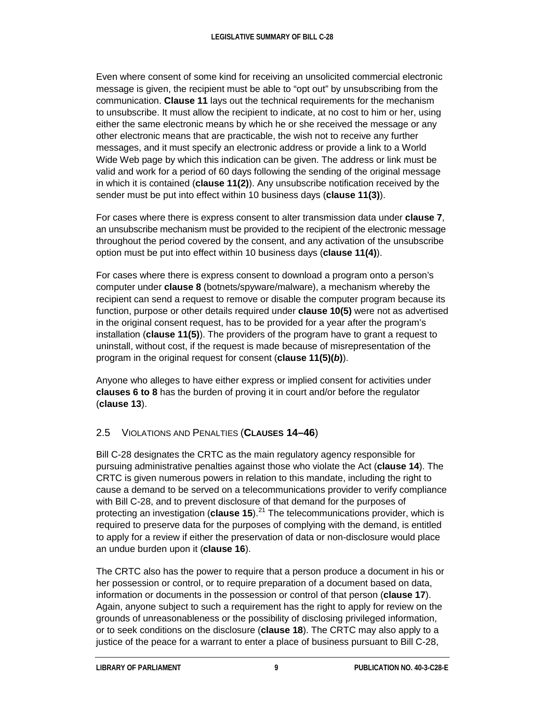Even where consent of some kind for receiving an unsolicited commercial electronic message is given, the recipient must be able to "opt out" by unsubscribing from the communication. **Clause 11** lays out the technical requirements for the mechanism to unsubscribe. It must allow the recipient to indicate, at no cost to him or her, using either the same electronic means by which he or she received the message or any other electronic means that are practicable, the wish not to receive any further messages, and it must specify an electronic address or provide a link to a World Wide Web page by which this indication can be given. The address or link must be valid and work for a period of 60 days following the sending of the original message in which it is contained (**clause 11(2)**). Any unsubscribe notification received by the sender must be put into effect within 10 business days (**clause 11(3)**).

For cases where there is express consent to alter transmission data under **clause 7**, an unsubscribe mechanism must be provided to the recipient of the electronic message throughout the period covered by the consent, and any activation of the unsubscribe option must be put into effect within 10 business days (**clause 11(4)**).

For cases where there is express consent to download a program onto a person's computer under **clause 8** (botnets/spyware/malware), a mechanism whereby the recipient can send a request to remove or disable the computer program because its function, purpose or other details required under **clause 10(5)** were not as advertised in the original consent request, has to be provided for a year after the program's installation (**clause 11(5)**). The providers of the program have to grant a request to uninstall, without cost, if the request is made because of misrepresentation of the program in the original request for consent (**clause 11(5)(***b***)**).

Anyone who alleges to have either express or implied consent for activities under **clauses 6 to 8** has the burden of proving it in court and/or before the regulator (**clause 13**).

## 2.5 VIOLATIONS AND PENALTIES (**CLAUSES 14–46**)

Bill C-28 designates the CRTC as the main regulatory agency responsible for pursuing administrative penalties against those who violate the Act (**clause 14**). The CRTC is given numerous powers in relation to this mandate, including the right to cause a demand to be served on a telecommunications provider to verify compliance with Bill C-28, and to prevent disclosure of that demand for the purposes of protecting an investigation (**clause 15**).<sup>[21](#page-22-16)</sup> The telecommunications provider, which is required to preserve data for the purposes of complying with the demand, is entitled to apply for a review if either the preservation of data or non-disclosure would place an undue burden upon it (**clause 16**).

The CRTC also has the power to require that a person produce a document in his or her possession or control, or to require preparation of a document based on data, information or documents in the possession or control of that person (**clause 17**). Again, anyone subject to such a requirement has the right to apply for review on the grounds of unreasonableness or the possibility of disclosing privileged information, or to seek conditions on the disclosure (**clause 18**). The CRTC may also apply to a justice of the peace for a warrant to enter a place of business pursuant to Bill C-28,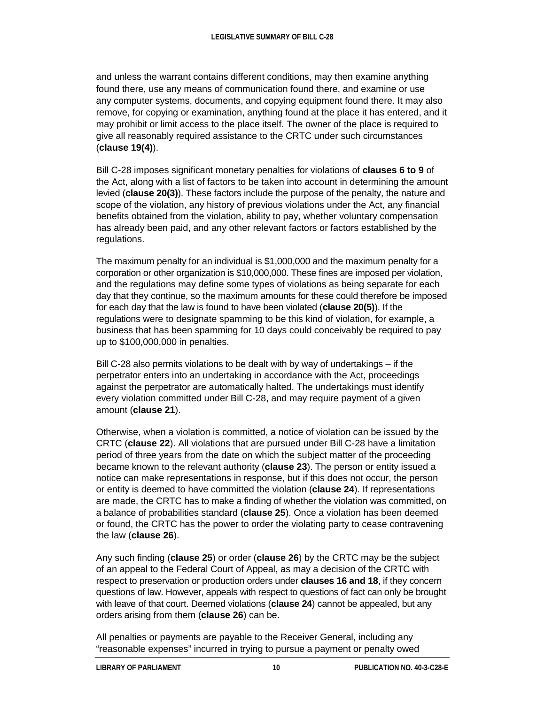and unless the warrant contains different conditions, may then examine anything found there, use any means of communication found there, and examine or use any computer systems, documents, and copying equipment found there. It may also remove, for copying or examination, anything found at the place it has entered, and it may prohibit or limit access to the place itself. The owner of the place is required to give all reasonably required assistance to the CRTC under such circumstances (**clause 19(4)**).

Bill C-28 imposes significant monetary penalties for violations of **clauses 6 to 9** of the Act, along with a list of factors to be taken into account in determining the amount levied (**clause 20(3)**). These factors include the purpose of the penalty, the nature and scope of the violation, any history of previous violations under the Act, any financial benefits obtained from the violation, ability to pay, whether voluntary compensation has already been paid, and any other relevant factors or factors established by the regulations.

The maximum penalty for an individual is \$1,000,000 and the maximum penalty for a corporation or other organization is \$10,000,000. These fines are imposed per violation, and the regulations may define some types of violations as being separate for each day that they continue, so the maximum amounts for these could therefore be imposed for each day that the law is found to have been violated (**clause 20(5)**). If the regulations were to designate spamming to be this kind of violation, for example, a business that has been spamming for 10 days could conceivably be required to pay up to \$100,000,000 in penalties.

Bill C-28 also permits violations to be dealt with by way of undertakings – if the perpetrator enters into an undertaking in accordance with the Act, proceedings against the perpetrator are automatically halted. The undertakings must identify every violation committed under Bill C-28, and may require payment of a given amount (**clause 21**).

Otherwise, when a violation is committed, a notice of violation can be issued by the CRTC (**clause 22**). All violations that are pursued under Bill C-28 have a limitation period of three years from the date on which the subject matter of the proceeding became known to the relevant authority (**clause 23**). The person or entity issued a notice can make representations in response, but if this does not occur, the person or entity is deemed to have committed the violation (**clause 24**). If representations are made, the CRTC has to make a finding of whether the violation was committed, on a balance of probabilities standard (**clause 25**). Once a violation has been deemed or found, the CRTC has the power to order the violating party to cease contravening the law (**clause 26**).

Any such finding (**clause 25**) or order (**clause 26**) by the CRTC may be the subject of an appeal to the Federal Court of Appeal, as may a decision of the CRTC with respect to preservation or production orders under **clauses 16 and 18**, if they concern questions of law. However, appeals with respect to questions of fact can only be brought with leave of that court. Deemed violations (**clause 24**) cannot be appealed, but any orders arising from them (**clause 26**) can be.

All penalties or payments are payable to the Receiver General, including any "reasonable expenses" incurred in trying to pursue a payment or penalty owed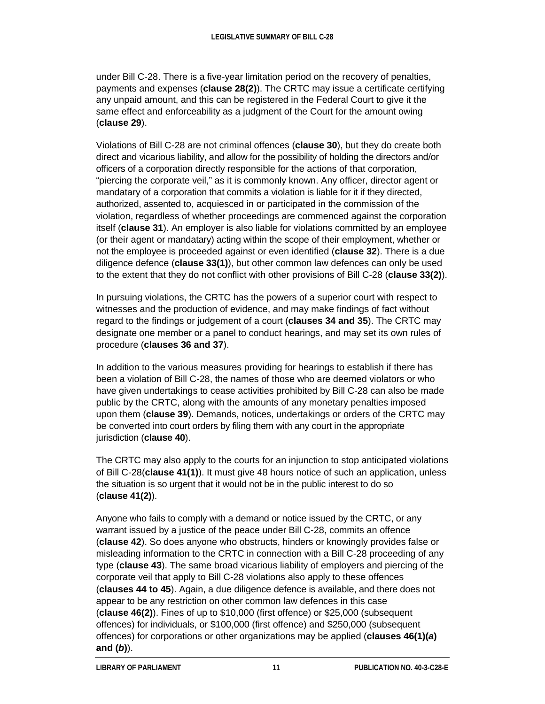under Bill C-28. There is a five-year limitation period on the recovery of penalties, payments and expenses (**clause 28(2)**). The CRTC may issue a certificate certifying any unpaid amount, and this can be registered in the Federal Court to give it the same effect and enforceability as a judgment of the Court for the amount owing (**clause 29**).

Violations of Bill C-28 are not criminal offences (**clause 30**), but they do create both direct and vicarious liability, and allow for the possibility of holding the directors and/or officers of a corporation directly responsible for the actions of that corporation, "piercing the corporate veil," as it is commonly known. Any officer, director agent or mandatary of a corporation that commits a violation is liable for it if they directed, authorized, assented to, acquiesced in or participated in the commission of the violation, regardless of whether proceedings are commenced against the corporation itself (**clause 31**). An employer is also liable for violations committed by an employee (or their agent or mandatary) acting within the scope of their employment, whether or not the employee is proceeded against or even identified (**clause 32**). There is a due diligence defence (**clause 33(1)**), but other common law defences can only be used to the extent that they do not conflict with other provisions of Bill C-28 (**clause 33(2)**).

In pursuing violations, the CRTC has the powers of a superior court with respect to witnesses and the production of evidence, and may make findings of fact without regard to the findings or judgement of a court (**clauses 34 and 35**). The CRTC may designate one member or a panel to conduct hearings, and may set its own rules of procedure (**clauses 36 and 37**).

In addition to the various measures providing for hearings to establish if there has been a violation of Bill C-28, the names of those who are deemed violators or who have given undertakings to cease activities prohibited by Bill C-28 can also be made public by the CRTC, along with the amounts of any monetary penalties imposed upon them (**clause 39**). Demands, notices, undertakings or orders of the CRTC may be converted into court orders by filing them with any court in the appropriate jurisdiction (**clause 40**).

The CRTC may also apply to the courts for an injunction to stop anticipated violations of Bill C-28(**clause 41(1)**). It must give 48 hours notice of such an application, unless the situation is so urgent that it would not be in the public interest to do so (**clause 41(2)**).

Anyone who fails to comply with a demand or notice issued by the CRTC, or any warrant issued by a justice of the peace under Bill C-28, commits an offence (**clause 42**). So does anyone who obstructs, hinders or knowingly provides false or misleading information to the CRTC in connection with a Bill C-28 proceeding of any type (**clause 43**). The same broad vicarious liability of employers and piercing of the corporate veil that apply to Bill C-28 violations also apply to these offences (**clauses 44 to 45**). Again, a due diligence defence is available, and there does not appear to be any restriction on other common law defences in this case (**clause 46(2)**). Fines of up to \$10,000 (first offence) or \$25,000 (subsequent offences) for individuals, or \$100,000 (first offence) and \$250,000 (subsequent offences) for corporations or other organizations may be applied (**clauses 46(1)(***a***) and (***b***)**).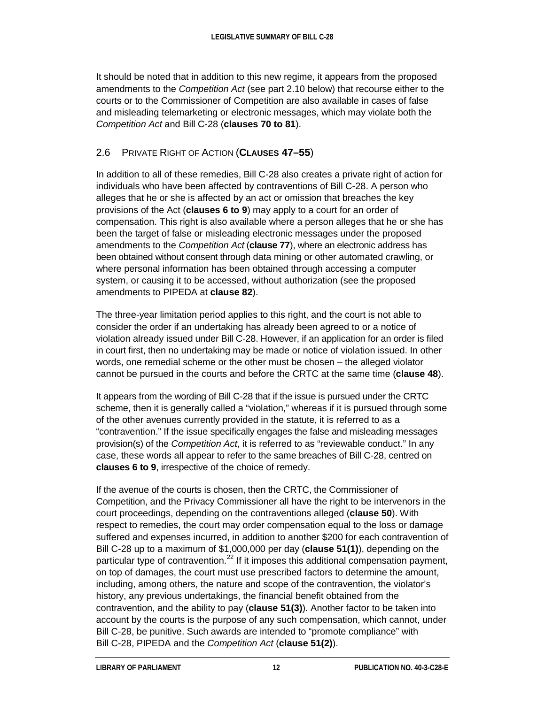It should be noted that in addition to this new regime, it appears from the proposed amendments to the *Competition Act* (see part 2.10 below) that recourse either to the courts or to the Commissioner of Competition are also available in cases of false and misleading telemarketing or electronic messages, which may violate both the *Competition Act* and Bill C-28 (**clauses 70 to 81**).

## 2.6 PRIVATE RIGHT OF ACTION (**CLAUSES 47–55**)

In addition to all of these remedies, Bill C-28 also creates a private right of action for individuals who have been affected by contraventions of Bill C-28. A person who alleges that he or she is affected by an act or omission that breaches the key provisions of the Act (**clauses 6 to 9**) may apply to a court for an order of compensation. This right is also available where a person alleges that he or she has been the target of false or misleading electronic messages under the proposed amendments to the *Competition Act* (**clause 77**), where an electronic address has been obtained without consent through data mining or other automated crawling, or where personal information has been obtained through accessing a computer system, or causing it to be accessed, without authorization (see the proposed amendments to PIPEDA at **clause 82**).

The three-year limitation period applies to this right, and the court is not able to consider the order if an undertaking has already been agreed to or a notice of violation already issued under Bill C-28. However, if an application for an order is filed in court first, then no undertaking may be made or notice of violation issued. In other words, one remedial scheme or the other must be chosen – the alleged violator cannot be pursued in the courts and before the CRTC at the same time (**clause 48**).

It appears from the wording of Bill C-28 that if the issue is pursued under the CRTC scheme, then it is generally called a "violation," whereas if it is pursued through some of the other avenues currently provided in the statute, it is referred to as a "contravention." If the issue specifically engages the false and misleading messages provision(s) of the *Competition Act*, it is referred to as "reviewable conduct." In any case, these words all appear to refer to the same breaches of Bill C-28, centred on **clauses 6 to 9**, irrespective of the choice of remedy.

If the avenue of the courts is chosen, then the CRTC, the Commissioner of Competition, and the Privacy Commissioner all have the right to be intervenors in the court proceedings, depending on the contraventions alleged (**clause 50**). With respect to remedies, the court may order compensation equal to the loss or damage suffered and expenses incurred, in addition to another \$200 for each contravention of Bill C-28 up to a maximum of \$1,000,000 per day (**clause 51(1)**), depending on the particular type of contravention.<sup>[22](#page-22-17)</sup> If it imposes this additional compensation payment, on top of damages, the court must use prescribed factors to determine the amount, including, among others, the nature and scope of the contravention, the violator's history, any previous undertakings, the financial benefit obtained from the contravention, and the ability to pay (**clause 51(3)**). Another factor to be taken into account by the courts is the purpose of any such compensation, which cannot, under Bill C-28, be punitive. Such awards are intended to "promote compliance" with Bill C-28, PIPEDA and the *Competition Act* (**clause 51(2)**).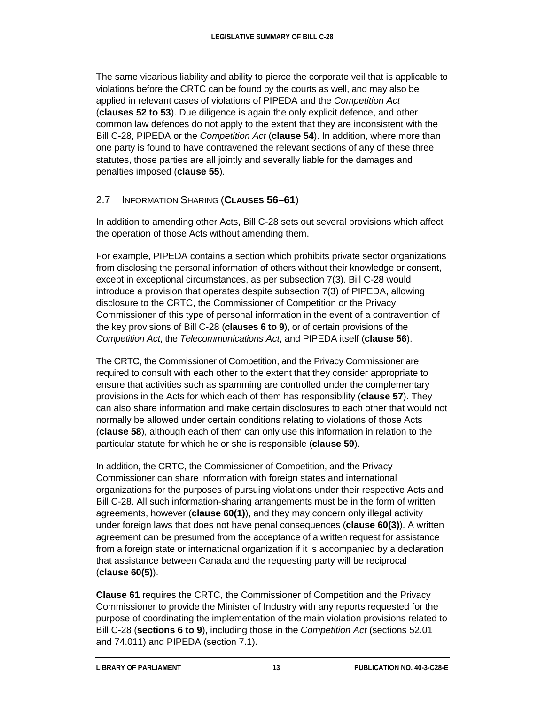The same vicarious liability and ability to pierce the corporate veil that is applicable to violations before the CRTC can be found by the courts as well, and may also be applied in relevant cases of violations of PIPEDA and the *Competition Act* (**clauses 52 to 53**). Due diligence is again the only explicit defence, and other common law defences do not apply to the extent that they are inconsistent with the Bill C-28, PIPEDA or the *Competition Act* (**clause 54**). In addition, where more than one party is found to have contravened the relevant sections of any of these three statutes, those parties are all jointly and severally liable for the damages and penalties imposed (**clause 55**).

## 2.7 INFORMATION SHARING (**CLAUSES 56–61**)

In addition to amending other Acts, Bill C-28 sets out several provisions which affect the operation of those Acts without amending them.

For example, PIPEDA contains a section which prohibits private sector organizations from disclosing the personal information of others without their knowledge or consent, except in exceptional circumstances, as per subsection 7(3). Bill C-28 would introduce a provision that operates despite subsection 7(3) of PIPEDA, allowing disclosure to the CRTC, the Commissioner of Competition or the Privacy Commissioner of this type of personal information in the event of a contravention of the key provisions of Bill C-28 (**clauses 6 to 9**), or of certain provisions of the *Competition Act*, the *Telecommunications Act*, and PIPEDA itself (**clause 56**).

The CRTC, the Commissioner of Competition, and the Privacy Commissioner are required to consult with each other to the extent that they consider appropriate to ensure that activities such as spamming are controlled under the complementary provisions in the Acts for which each of them has responsibility (**clause 57**). They can also share information and make certain disclosures to each other that would not normally be allowed under certain conditions relating to violations of those Acts (**clause 58**), although each of them can only use this information in relation to the particular statute for which he or she is responsible (**clause 59**).

In addition, the CRTC, the Commissioner of Competition, and the Privacy Commissioner can share information with foreign states and international organizations for the purposes of pursuing violations under their respective Acts and Bill C-28. All such information-sharing arrangements must be in the form of written agreements, however (**clause 60(1)**), and they may concern only illegal activity under foreign laws that does not have penal consequences (**clause 60(3)**). A written agreement can be presumed from the acceptance of a written request for assistance from a foreign state or international organization if it is accompanied by a declaration that assistance between Canada and the requesting party will be reciprocal (**clause 60(5)**).

**Clause 61** requires the CRTC, the Commissioner of Competition and the Privacy Commissioner to provide the Minister of Industry with any reports requested for the purpose of coordinating the implementation of the main violation provisions related to Bill C-28 (**sections 6 to 9**), including those in the *Competition Act* (sections 52.01 and 74.011) and PIPEDA (section 7.1).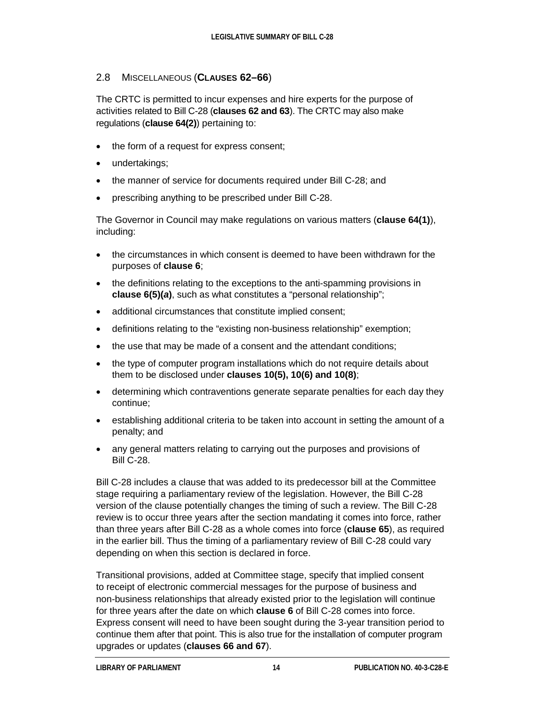#### 2.8 MISCELLANEOUS (**CLAUSES 62–66**)

The CRTC is permitted to incur expenses and hire experts for the purpose of activities related to Bill C-28 (**clauses 62 and 63**). The CRTC may also make regulations (**clause 64(2)**) pertaining to:

- the form of a request for express consent;
- undertakings;
- the manner of service for documents required under Bill C-28; and
- prescribing anything to be prescribed under Bill C-28.

The Governor in Council may make regulations on various matters (**clause 64(1)**), including:

- the circumstances in which consent is deemed to have been withdrawn for the purposes of **clause 6**;
- the definitions relating to the exceptions to the anti-spamming provisions in **clause 6(5)(***a***)**, such as what constitutes a "personal relationship";
- additional circumstances that constitute implied consent;
- definitions relating to the "existing non-business relationship" exemption;
- the use that may be made of a consent and the attendant conditions;
- the type of computer program installations which do not require details about them to be disclosed under **clauses 10(5), 10(6) and 10(8)**;
- determining which contraventions generate separate penalties for each day they continue;
- establishing additional criteria to be taken into account in setting the amount of a penalty; and
- any general matters relating to carrying out the purposes and provisions of Bill C-28.

Bill C-28 includes a clause that was added to its predecessor bill at the Committee stage requiring a parliamentary review of the legislation. However, the Bill C-28 version of the clause potentially changes the timing of such a review. The Bill C-28 review is to occur three years after the section mandating it comes into force, rather than three years after Bill C-28 as a whole comes into force (**clause 65**), as required in the earlier bill. Thus the timing of a parliamentary review of Bill C-28 could vary depending on when this section is declared in force.

Transitional provisions, added at Committee stage, specify that implied consent to receipt of electronic commercial messages for the purpose of business and non-business relationships that already existed prior to the legislation will continue for three years after the date on which **clause 6** of Bill C-28 comes into force. Express consent will need to have been sought during the 3-year transition period to continue them after that point. This is also true for the installation of computer program upgrades or updates (**clauses 66 and 67**).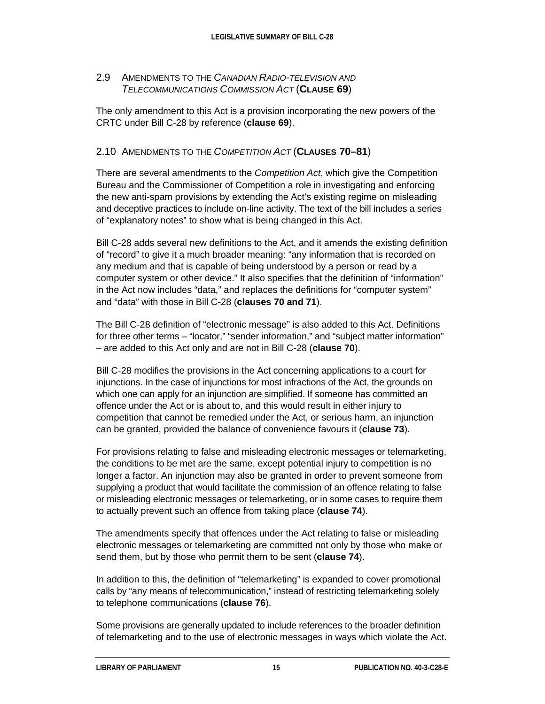#### 2.9 AMENDMENTS TO THE *CANADIAN RADIO-TELEVISION AND TELECOMMUNICATIONS COMMISSION ACT* (**CLAUSE 69**)

The only amendment to this Act is a provision incorporating the new powers of the CRTC under Bill C-28 by reference (**clause 69**).

#### 2.10 AMENDMENTS TO THE *COMPETITION ACT* (**CLAUSES 70–81**)

There are several amendments to the *Competition Act*, which give the Competition Bureau and the Commissioner of Competition a role in investigating and enforcing the new anti-spam provisions by extending the Act's existing regime on misleading and deceptive practices to include on-line activity. The text of the bill includes a series of "explanatory notes" to show what is being changed in this Act.

Bill C-28 adds several new definitions to the Act, and it amends the existing definition of "record" to give it a much broader meaning: "any information that is recorded on any medium and that is capable of being understood by a person or read by a computer system or other device." It also specifies that the definition of "information" in the Act now includes "data," and replaces the definitions for "computer system" and "data" with those in Bill C-28 (**clauses 70 and 71**).

The Bill C-28 definition of "electronic message" is also added to this Act. Definitions for three other terms – "locator," "sender information," and "subject matter information" – are added to this Act only and are not in Bill C-28 (**clause 70**).

Bill C-28 modifies the provisions in the Act concerning applications to a court for injunctions. In the case of injunctions for most infractions of the Act, the grounds on which one can apply for an injunction are simplified. If someone has committed an offence under the Act or is about to, and this would result in either injury to competition that cannot be remedied under the Act, or serious harm, an injunction can be granted, provided the balance of convenience favours it (**clause 73**).

For provisions relating to false and misleading electronic messages or telemarketing, the conditions to be met are the same, except potential injury to competition is no longer a factor. An injunction may also be granted in order to prevent someone from supplying a product that would facilitate the commission of an offence relating to false or misleading electronic messages or telemarketing, or in some cases to require them to actually prevent such an offence from taking place (**clause 74**).

The amendments specify that offences under the Act relating to false or misleading electronic messages or telemarketing are committed not only by those who make or send them, but by those who permit them to be sent (**clause 74**).

In addition to this, the definition of "telemarketing" is expanded to cover promotional calls by "any means of telecommunication," instead of restricting telemarketing solely to telephone communications (**clause 76**).

Some provisions are generally updated to include references to the broader definition of telemarketing and to the use of electronic messages in ways which violate the Act.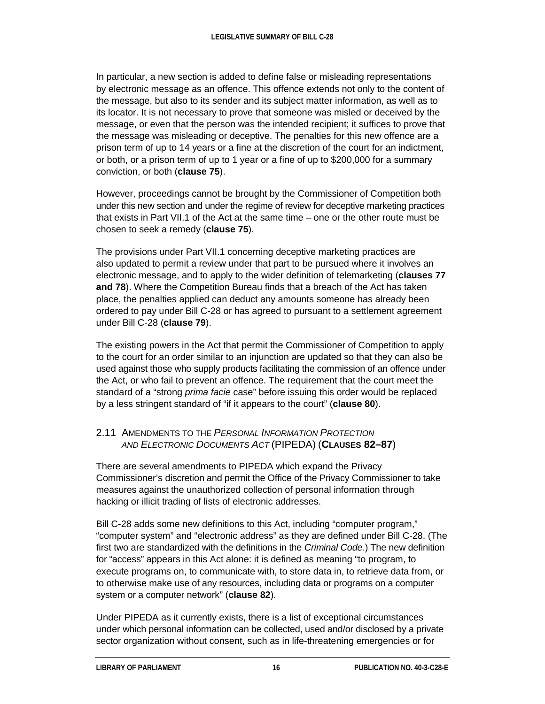In particular, a new section is added to define false or misleading representations by electronic message as an offence. This offence extends not only to the content of the message, but also to its sender and its subject matter information, as well as to its locator. It is not necessary to prove that someone was misled or deceived by the message, or even that the person was the intended recipient; it suffices to prove that the message was misleading or deceptive. The penalties for this new offence are a prison term of up to 14 years or a fine at the discretion of the court for an indictment, or both, or a prison term of up to 1 year or a fine of up to \$200,000 for a summary conviction, or both (**clause 75**).

However, proceedings cannot be brought by the Commissioner of Competition both under this new section and under the regime of review for deceptive marketing practices that exists in Part VII.1 of the Act at the same time – one or the other route must be chosen to seek a remedy (**clause 75**).

The provisions under Part VII.1 concerning deceptive marketing practices are also updated to permit a review under that part to be pursued where it involves an electronic message, and to apply to the wider definition of telemarketing (**clauses 77 and 78**). Where the Competition Bureau finds that a breach of the Act has taken place, the penalties applied can deduct any amounts someone has already been ordered to pay under Bill C-28 or has agreed to pursuant to a settlement agreement under Bill C-28 (**clause 79**).

The existing powers in the Act that permit the Commissioner of Competition to apply to the court for an order similar to an injunction are updated so that they can also be used against those who supply products facilitating the commission of an offence under the Act, or who fail to prevent an offence. The requirement that the court meet the standard of a "strong *prima facie* case" before issuing this order would be replaced by a less stringent standard of "if it appears to the court" (**clause 80**).

#### 2.11 AMENDMENTS TO THE *PERSONAL INFORMATION PROTECTION AND ELECTRONIC DOCUMENTS ACT* (PIPEDA) (**CLAUSES 82–87**)

There are several amendments to PIPEDA which expand the Privacy Commissioner's discretion and permit the Office of the Privacy Commissioner to take measures against the unauthorized collection of personal information through hacking or illicit trading of lists of electronic addresses.

Bill C-28 adds some new definitions to this Act, including "computer program," "computer system" and "electronic address" as they are defined under Bill C-28. (The first two are standardized with the definitions in the *Criminal Code*.) The new definition for "access" appears in this Act alone: it is defined as meaning "to program, to execute programs on, to communicate with, to store data in, to retrieve data from, or to otherwise make use of any resources, including data or programs on a computer system or a computer network" (**clause 82**).

Under PIPEDA as it currently exists, there is a list of exceptional circumstances under which personal information can be collected, used and/or disclosed by a private sector organization without consent, such as in life-threatening emergencies or for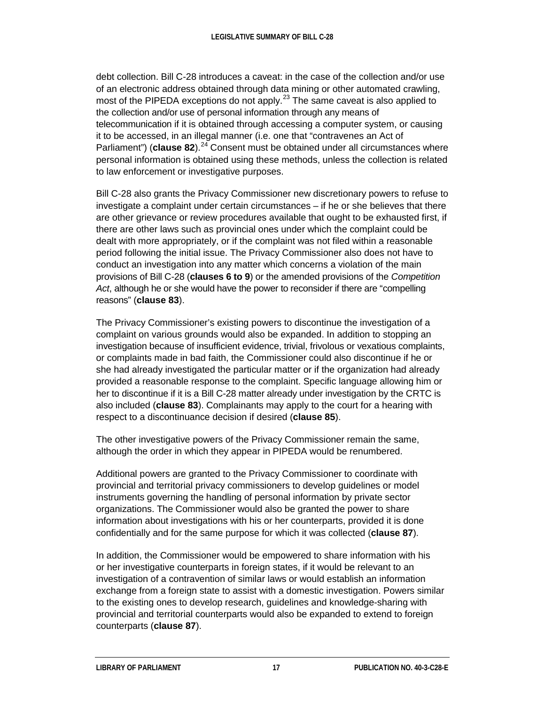debt collection. Bill C-28 introduces a caveat: in the case of the collection and/or use of an electronic address obtained through data mining or other automated crawling, most of the PIPEDA exceptions do not apply.<sup>[23](#page-23-0)</sup> The same caveat is also applied to the collection and/or use of personal information through any means of telecommunication if it is obtained through accessing a computer system, or causing it to be accessed, in an illegal manner (i.e. one that "contravenes an Act of Parliament") (**clause 82**).<sup>[24](#page-23-1)</sup> Consent must be obtained under all circumstances where personal information is obtained using these methods, unless the collection is related to law enforcement or investigative purposes.

Bill C-28 also grants the Privacy Commissioner new discretionary powers to refuse to investigate a complaint under certain circumstances – if he or she believes that there are other grievance or review procedures available that ought to be exhausted first, if there are other laws such as provincial ones under which the complaint could be dealt with more appropriately, or if the complaint was not filed within a reasonable period following the initial issue. The Privacy Commissioner also does not have to conduct an investigation into any matter which concerns a violation of the main provisions of Bill C-28 (**clauses 6 to 9**) or the amended provisions of the *Competition Act*, although he or she would have the power to reconsider if there are "compelling reasons" (**clause 83**).

The Privacy Commissioner's existing powers to discontinue the investigation of a complaint on various grounds would also be expanded. In addition to stopping an investigation because of insufficient evidence, trivial, frivolous or vexatious complaints, or complaints made in bad faith, the Commissioner could also discontinue if he or she had already investigated the particular matter or if the organization had already provided a reasonable response to the complaint. Specific language allowing him or her to discontinue if it is a Bill C-28 matter already under investigation by the CRTC is also included (**clause 83**). Complainants may apply to the court for a hearing with respect to a discontinuance decision if desired (**clause 85**).

The other investigative powers of the Privacy Commissioner remain the same, although the order in which they appear in PIPEDA would be renumbered.

Additional powers are granted to the Privacy Commissioner to coordinate with provincial and territorial privacy commissioners to develop guidelines or model instruments governing the handling of personal information by private sector organizations. The Commissioner would also be granted the power to share information about investigations with his or her counterparts, provided it is done confidentially and for the same purpose for which it was collected (**clause 87**).

In addition, the Commissioner would be empowered to share information with his or her investigative counterparts in foreign states, if it would be relevant to an investigation of a contravention of similar laws or would establish an information exchange from a foreign state to assist with a domestic investigation. Powers similar to the existing ones to develop research, guidelines and knowledge-sharing with provincial and territorial counterparts would also be expanded to extend to foreign counterparts (**clause 87**).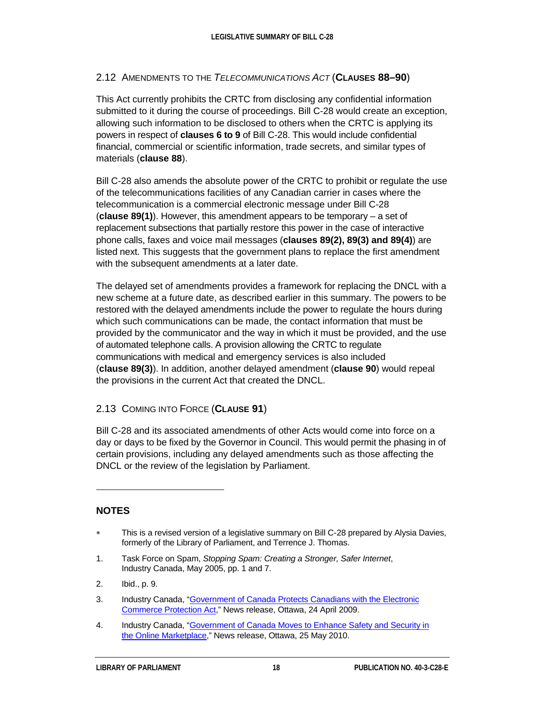#### 2.12 AMENDMENTS TO THE *TELECOMMUNICATIONS ACT* (**CLAUSES 88–90**)

This Act currently prohibits the CRTC from disclosing any confidential information submitted to it during the course of proceedings. Bill C-28 would create an exception, allowing such information to be disclosed to others when the CRTC is applying its powers in respect of **clauses 6 to 9** of Bill C-28. This would include confidential financial, commercial or scientific information, trade secrets, and similar types of materials (**clause 88**).

Bill C-28 also amends the absolute power of the CRTC to prohibit or regulate the use of the telecommunications facilities of any Canadian carrier in cases where the telecommunication is a commercial electronic message under Bill C-28 (**clause 89(1)**). However, this amendment appears to be temporary – a set of replacement subsections that partially restore this power in the case of interactive phone calls, faxes and voice mail messages (**clauses 89(2), 89(3) and 89(4)**) are listed next. This suggests that the government plans to replace the first amendment with the subsequent amendments at a later date.

The delayed set of amendments provides a framework for replacing the DNCL with a new scheme at a future date, as described earlier in this summary. The powers to be restored with the delayed amendments include the power to regulate the hours during which such communications can be made, the contact information that must be provided by the communicator and the way in which it must be provided, and the use of automated telephone calls. A provision allowing the CRTC to regulate communications with medical and emergency services is also included (**clause 89(3)**). In addition, another delayed amendment (**clause 90**) would repeal the provisions in the current Act that created the DNCL.

#### 2.13 COMING INTO FORCE (**CLAUSE 91**)

Bill C-28 and its associated amendments of other Acts would come into force on a day or days to be fixed by the Governor in Council. This would permit the phasing in of certain provisions, including any delayed amendments such as those affecting the DNCL or the review of the legislation by Parliament.

#### **NOTES**

 $\ddot{ }$ 

- <span id="page-21-0"></span>∗ This is a revised version of a legislative summary on Bill C-28 prepared by Alysia Davies, formerly of the Library of Parliament, and Terrence J. Thomas.
- <span id="page-21-1"></span>1. Task Force on Spam, *Stopping Spam: Creating a Stronger, Safer Internet*, Industry Canada, May 2005, pp. 1 and 7.
- <span id="page-21-2"></span>2. Ibid., p. 9.
- <span id="page-21-3"></span>3. Industry Canada, ["Government of Canada Protects Canadians with the Electronic](http://www.ic.gc.ca/eic/site/ic1.nsf/eng/04595.html)  [Commerce Protection Act,](http://www.ic.gc.ca/eic/site/ic1.nsf/eng/04595.html)" News release, Ottawa, 24 April 2009.
- <span id="page-21-4"></span>4. Industry Canada, "Government of Canada Moves to Enhance Safety and Security in the [Online Marketplace,"](http://www.ic.gc.ca/eic/site/ic1.nsf/eng/05596.html) News release, Ottawa, 25 May 2010.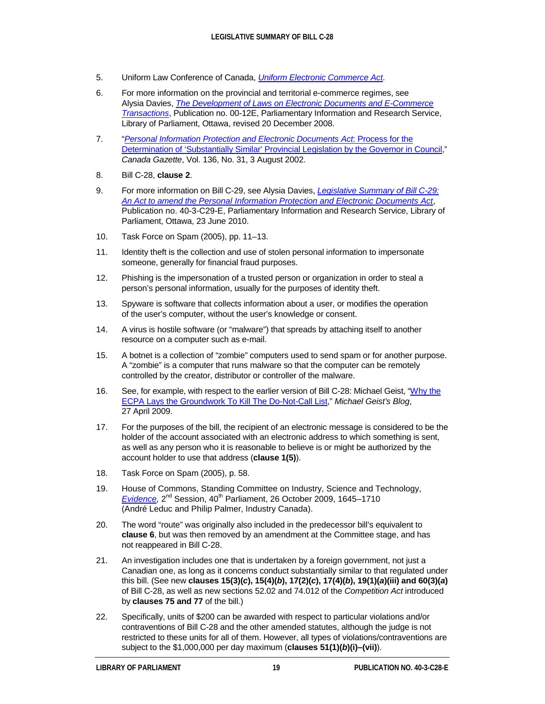- <span id="page-22-0"></span>5. Uniform Law Conference of Canada, *[Uniform Electronic Commerce Act](http://www.ulcc.ca/en/us/index.cfm?sec=1&sub=1u1)*.
- <span id="page-22-1"></span>6. For more information on the provincial and territorial e-commerce regimes, see Alysia Davies, *[The Development of Laws on Electronic Documents and E-Commerce](http://www.parl.gc.ca/Content/LOP/ResearchPublications/prb0012-e.htm)  [Transactions](http://www.parl.gc.ca/Content/LOP/ResearchPublications/prb0012-e.htm)*, Publication no. 00-12E, Parliamentary Information and Research Service, Library of Parliament, Ottawa, revised 20 December 2008.
- <span id="page-22-2"></span>7. "*[Personal Information Protection and Electronic Documents Act](http://www.gazette.gc.ca/archives/p1/2002/2002-08-03/html/notice-avis-eng.html#i10)*: Process for the [Determination of 'Substantially Similar' Provincial Legislation by the Governor in Council,](http://www.gazette.gc.ca/archives/p1/2002/2002-08-03/html/notice-avis-eng.html#i10)" *Canada Gazette*, Vol. 136, No. 31, 3 August 2002.
- <span id="page-22-3"></span>8. Bill C-28, **clause 2**.
- <span id="page-22-4"></span>9. For more information on Bill C-29, see Alysia Davies, *[Legislative Summary of](http://www.parl.gc.ca/About/Parliament/LegislativeSummaries/Bills_ls.asp?ls=c29&source=library_prb&Parl=40&Ses=3&Language=E) Bill C-29: An Act to amend the Personal [Information Protection and Electronic Documents Act](http://www.parl.gc.ca/About/Parliament/LegislativeSummaries/Bills_ls.asp?ls=c29&source=library_prb&Parl=40&Ses=3&Language=E)*, Publication no. 40-3-C29-E, Parliamentary Information and Research Service, Library of Parliament, Ottawa, 23 June 2010.
- <span id="page-22-5"></span>10. Task Force on Spam (2005), pp. 11–13.
- <span id="page-22-6"></span>11. Identity theft is the collection and use of stolen personal information to impersonate someone, generally for financial fraud purposes.
- <span id="page-22-7"></span>12. Phishing is the impersonation of a trusted person or organization in order to steal a person's personal information, usually for the purposes of identity theft.
- <span id="page-22-8"></span>13. Spyware is software that collects information about a user, or modifies the operation of the user's computer, without the user's knowledge or consent.
- <span id="page-22-9"></span>14. A virus is hostile software (or "malware") that spreads by attaching itself to another resource on a computer such as e-mail.
- <span id="page-22-10"></span>15. A botnet is a collection of "zombie" computers used to send spam or for another purpose. A "zombie" is a computer that runs malware so that the computer can be remotely controlled by the creator, distributor or controller of the malware.
- <span id="page-22-11"></span>16. See, for example, with respect to the earlier version of Bill C-28: Michael Geist, ["Why the](http://www.michaelgeist.ca/content/view/3894/125/)  [ECPA Lays the Groundwork To Kill The Do-Not-Call List,](http://www.michaelgeist.ca/content/view/3894/125/)" *Michael Geist's Blog*, 27 April 2009.
- <span id="page-22-12"></span>17. For the purposes of the bill, the recipient of an electronic message is considered to be the holder of the account associated with an electronic address to which something is sent, as well as any person who it is reasonable to believe is or might be authorized by the account holder to use that address (**clause 1(5)**).
- <span id="page-22-13"></span>18. Task Force on Spam (2005), p. 58.
- <span id="page-22-14"></span>19. House of Commons, Standing Committee on Industry, Science and Technology, *Evidence*, 2<sup>nd</sup> Session, 40<sup>th</sup> Parliament, 26 October 2009, 1645–1710 (André Leduc and Philip Palmer, Industry Canada).
- <span id="page-22-15"></span>20. The word "route" was originally also included in the predecessor bill's equivalent to **clause 6**, but was then removed by an amendment at the Committee stage, and has not reappeared in Bill C-28.
- <span id="page-22-16"></span>21. An investigation includes one that is undertaken by a foreign government, not just a Canadian one, as long as it concerns conduct substantially similar to that regulated under this bill. (See new **clauses 15(3)(***c***), 15(4)(***b***), 17(2)(***c***), 17(4)(***b***), 19(1)(***a***)(iii) and 60(3)(***a***)** of Bill C-28, as well as new sections 52.02 and 74.012 of the *Competition Act* introduced by **clauses 75 and 77** of the bill.)
- <span id="page-22-17"></span>22. Specifically, units of \$200 can be awarded with respect to particular violations and/or contraventions of Bill C-28 and the other amended statutes, although the judge is not restricted to these units for all of them. However, all types of violations/contraventions are subject to the \$1,000,000 per day maximum (**clauses 51(1)(***b***)(i)–(vii)**).